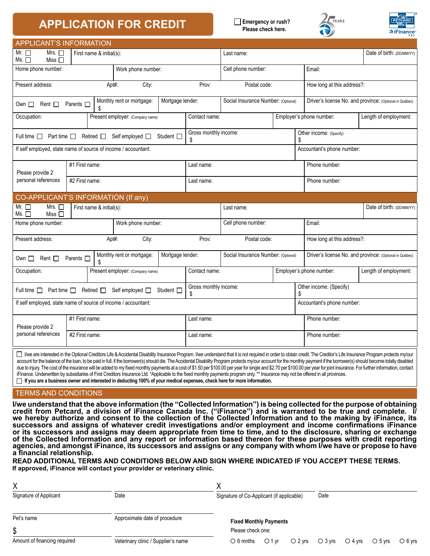## **APPLICATION FOR CREDIT Example 2** Emergency or rush?

**Please check here.**





|                                                                                                                                                                                                                                                                                                                                                                                                                                                                                                                                                                                                                                                                                                                                                                                                                                                                                                                                                                                                               |                |  |               |                                     |                                     |                                                   | $\sim$                                                  | PET                       |  |  |  |
|---------------------------------------------------------------------------------------------------------------------------------------------------------------------------------------------------------------------------------------------------------------------------------------------------------------------------------------------------------------------------------------------------------------------------------------------------------------------------------------------------------------------------------------------------------------------------------------------------------------------------------------------------------------------------------------------------------------------------------------------------------------------------------------------------------------------------------------------------------------------------------------------------------------------------------------------------------------------------------------------------------------|----------------|--|---------------|-------------------------------------|-------------------------------------|---------------------------------------------------|---------------------------------------------------------|---------------------------|--|--|--|
| <b>APPLICANT'S INFORMATION</b>                                                                                                                                                                                                                                                                                                                                                                                                                                                                                                                                                                                                                                                                                                                                                                                                                                                                                                                                                                                |                |  |               |                                     |                                     |                                                   |                                                         |                           |  |  |  |
| Mrs. $\square$<br>Mr. $\Box$<br>First name & initial(s):<br>Ms. $\Box$<br>Miss $\Box$                                                                                                                                                                                                                                                                                                                                                                                                                                                                                                                                                                                                                                                                                                                                                                                                                                                                                                                         |                |  |               |                                     | Last name:                          |                                                   |                                                         | Date of birth: (DD/MM/YY) |  |  |  |
| Work phone number:<br>Home phone number:                                                                                                                                                                                                                                                                                                                                                                                                                                                                                                                                                                                                                                                                                                                                                                                                                                                                                                                                                                      |                |  |               |                                     | Cell phone number:                  |                                                   | Email:                                                  |                           |  |  |  |
| Present address:<br>Apt#:<br>City:                                                                                                                                                                                                                                                                                                                                                                                                                                                                                                                                                                                                                                                                                                                                                                                                                                                                                                                                                                            |                |  |               | Prov:                               | Postal code:                        |                                                   | How long at this address?:                              |                           |  |  |  |
| Monthly rent or mortgage:<br>Mortgage lender:<br>Parents $\square$<br>Rent $\Box$<br>Own $\Box$                                                                                                                                                                                                                                                                                                                                                                                                                                                                                                                                                                                                                                                                                                                                                                                                                                                                                                               |                |  |               |                                     | Social Insurance Number: (Optional) |                                                   | Driver's license No. and province: (Optional in Québec) |                           |  |  |  |
| Occupation:<br>Present employer: (Company name)                                                                                                                                                                                                                                                                                                                                                                                                                                                                                                                                                                                                                                                                                                                                                                                                                                                                                                                                                               |                |  |               | Contact name:                       |                                     |                                                   | Employer's phone number:                                | Length of employment:     |  |  |  |
| Part time $\square$<br>Retired $\Box$<br>Self employed □<br>Full time $\square$<br>Student [                                                                                                                                                                                                                                                                                                                                                                                                                                                                                                                                                                                                                                                                                                                                                                                                                                                                                                                  |                |  |               | Gross monthly income:               |                                     |                                                   | Other income: (Specify)                                 |                           |  |  |  |
| If self employed, state name of source of income / accountant:                                                                                                                                                                                                                                                                                                                                                                                                                                                                                                                                                                                                                                                                                                                                                                                                                                                                                                                                                |                |  |               |                                     |                                     |                                                   | Accountant's phone number:                              |                           |  |  |  |
| Please provide 2<br>personal references                                                                                                                                                                                                                                                                                                                                                                                                                                                                                                                                                                                                                                                                                                                                                                                                                                                                                                                                                                       | #1 First name: |  |               | Last name:                          |                                     |                                                   | Phone number:                                           |                           |  |  |  |
|                                                                                                                                                                                                                                                                                                                                                                                                                                                                                                                                                                                                                                                                                                                                                                                                                                                                                                                                                                                                               | #2 First name: |  |               | Last name:                          |                                     |                                                   | Phone number:                                           |                           |  |  |  |
| CO-APPLICANT'S INFORMATION (If any)                                                                                                                                                                                                                                                                                                                                                                                                                                                                                                                                                                                                                                                                                                                                                                                                                                                                                                                                                                           |                |  |               |                                     |                                     |                                                   |                                                         |                           |  |  |  |
| Mrs. $\square$<br>Mr. $\Box$<br>First name & initial(s):<br>Miss $\Box$<br>Ms. $\Box$                                                                                                                                                                                                                                                                                                                                                                                                                                                                                                                                                                                                                                                                                                                                                                                                                                                                                                                         |                |  |               |                                     | Last name:                          |                                                   |                                                         | Date of birth: (DD/MM/YY) |  |  |  |
| Home phone number:<br>Work phone number:                                                                                                                                                                                                                                                                                                                                                                                                                                                                                                                                                                                                                                                                                                                                                                                                                                                                                                                                                                      |                |  |               |                                     | Cell phone number:                  |                                                   | Email:                                                  |                           |  |  |  |
| Present address:<br>City:<br>Apt#:                                                                                                                                                                                                                                                                                                                                                                                                                                                                                                                                                                                                                                                                                                                                                                                                                                                                                                                                                                            |                |  |               | Prov:                               | Postal code:                        |                                                   | How long at this address?:                              |                           |  |  |  |
| Monthly rent or mortgage:<br>Mortgage lender:<br>Rent $\square$<br>Parents $\square$<br>Own $\Box$<br>\$                                                                                                                                                                                                                                                                                                                                                                                                                                                                                                                                                                                                                                                                                                                                                                                                                                                                                                      |                |  |               | Social Insurance Number: (Optional) |                                     |                                                   | Driver's license No. and province: (Optional in Québec) |                           |  |  |  |
| Occupation:<br>Present employer: (Company name)                                                                                                                                                                                                                                                                                                                                                                                                                                                                                                                                                                                                                                                                                                                                                                                                                                                                                                                                                               |                |  | Contact name: |                                     |                                     | Employer's phone number:<br>Length of employment: |                                                         |                           |  |  |  |
| Retired $\Box$ Self employed $\Box$<br>Student <sup>1</sup><br>Full time $\Box$ Part time $\Box$                                                                                                                                                                                                                                                                                                                                                                                                                                                                                                                                                                                                                                                                                                                                                                                                                                                                                                              |                |  |               | Gross monthly income:<br>\$         |                                     |                                                   | Other income: (Specify)                                 |                           |  |  |  |
| If self employed, state name of source of income / accountant:                                                                                                                                                                                                                                                                                                                                                                                                                                                                                                                                                                                                                                                                                                                                                                                                                                                                                                                                                |                |  |               |                                     |                                     | Accountant's phone number:                        |                                                         |                           |  |  |  |
| Please provide 2<br>personal references                                                                                                                                                                                                                                                                                                                                                                                                                                                                                                                                                                                                                                                                                                                                                                                                                                                                                                                                                                       | #1 First name: |  |               | Last name:                          |                                     |                                                   | Phone number:                                           |                           |  |  |  |
|                                                                                                                                                                                                                                                                                                                                                                                                                                                                                                                                                                                                                                                                                                                                                                                                                                                                                                                                                                                                               | #2 First name: |  |               | Last name:                          |                                     |                                                   | Phone number:                                           |                           |  |  |  |
| □ l/we are interested in the Optional Creditors Life & Accidental Disability Insurance Program. I/we understand that it is not required in order to obtain credit. The Creditor's Life Insurance Program protects my/our<br>account for the balance of the loan, to be paid in full, if the borrower(s) should die. The Accidental Disability Program protects my/our account for the monthly payment if the borrower(s) should become totally disabled<br>due to injury. The cost of the insurance will be added to my fixed monthly payments at a cost of \$1.50 per \$100.00 per year for single and \$2.70 per \$100.00 per year for joint insurance. For further information, contact<br>iFinance. Underwritten by subsidiaries of First Creditors Insurance Ltd. *Applicable to the fixed monthly payments program only. ** Insurance may not be offered in all provinces.<br>□ If you are a business owner and interested in deducting 100% of your medical expenses, check here for more information. |                |  |               |                                     |                                     |                                                   |                                                         |                           |  |  |  |
| <b>TERMS AND CONDITIONS</b>                                                                                                                                                                                                                                                                                                                                                                                                                                                                                                                                                                                                                                                                                                                                                                                                                                                                                                                                                                                   |                |  |               |                                     |                                     |                                                   |                                                         |                           |  |  |  |
| I/we understand that the above information (the "Collected Information") is being collected for the purpose of obtaining<br>credit from Petcard, a division of iFinance Canada Inc. ("iFinance") and is warranted to be true and complete. <i>Ī</i> /<br>we hereby authorize and consent to the collection of the Collected Information and to the making by iFinance, its<br>successors and assigns of whatever credit investigations and/or employment and income confirmations iFinance                                                                                                                                                                                                                                                                                                                                                                                                                                                                                                                    |                |  |               |                                     |                                     |                                                   |                                                         |                           |  |  |  |

**or its successors and assigns may deem appropriate from time to time, and to the disclosure, sharing or exchange of the Collected Information and any report or information based thereon for these purposes with credit reporting agencies, and amongst iFinance, its successors and assigns or any company with whom I/we have or propose to have a financial relationship. READ ADDITIONAL TERMS AND CONDITIONS BELOW AND SIGN WHERE INDICATED IF YOU ACCEPT THESE TERMS.**

**If approved, iFinance will contact your provider or veterinary clinic.**

| Χ                            |                                     |                                                                                                        |                                           |  |  |      |  |                  |  |
|------------------------------|-------------------------------------|--------------------------------------------------------------------------------------------------------|-------------------------------------------|--|--|------|--|------------------|--|
| Signature of Applicant       | Date                                |                                                                                                        | Signature of Co-Applicant (if applicable) |  |  | Date |  |                  |  |
| Pet's name                   | Approximate date of procedure       | <b>Fixed Monthly Payments</b>                                                                          |                                           |  |  |      |  |                  |  |
| \$                           |                                     | Please check one:                                                                                      |                                           |  |  |      |  |                  |  |
| Amount of financing required | Veterinary clinic / Supplier's name | $\bigcirc$ 6 mnths $\bigcirc$ 1 yr $\bigcirc$ 2 yrs $\bigcirc$ 3 yrs $\bigcirc$ 4 yrs $\bigcirc$ 5 yrs |                                           |  |  |      |  | $\bigcirc$ 6 yrs |  |